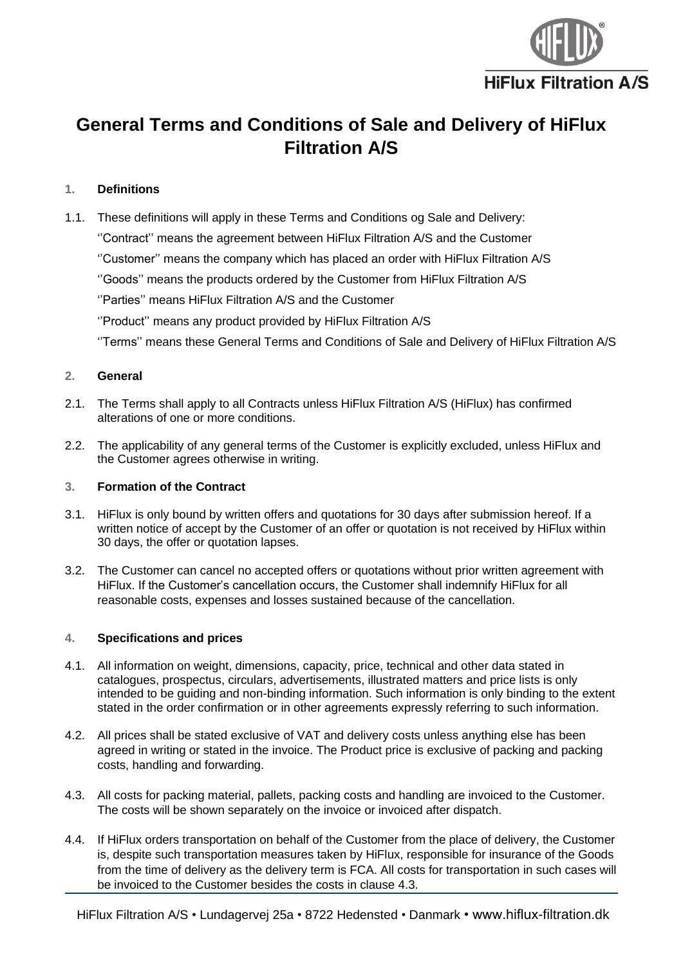

# **General Terms and Conditions of Sale and Delivery of HiFlux Filtration A/S**

# **1. Definitions**

1.1. These definitions will apply in these Terms and Conditions og Sale and Delivery:

''Contract'' means the agreement between HiFlux Filtration A/S and the Customer

''Customer'' means the company which has placed an order with HiFlux Filtration A/S

''Goods'' means the products ordered by the Customer from HiFlux Filtration A/S

''Parties'' means HiFlux Filtration A/S and the Customer

''Product'' means any product provided by HiFlux Filtration A/S

''Terms'' means these General Terms and Conditions of Sale and Delivery of HiFlux Filtration A/S

# **2. General**

- 2.1. The Terms shall apply to all Contracts unless HiFlux Filtration A/S (HiFlux) has confirmed alterations of one or more conditions.
- 2.2. The applicability of any general terms of the Customer is explicitly excluded, unless HiFlux and the Customer agrees otherwise in writing.

# **3. Formation of the Contract**

- 3.1. HiFlux is only bound by written offers and quotations for 30 days after submission hereof. If a written notice of accept by the Customer of an offer or quotation is not received by HiFlux within 30 days, the offer or quotation lapses.
- 3.2. The Customer can cancel no accepted offers or quotations without prior written agreement with HiFlux. If the Customer's cancellation occurs, the Customer shall indemnify HiFlux for all reasonable costs, expenses and losses sustained because of the cancellation.

## **4. Specifications and prices**

- <span id="page-0-1"></span>4.1. All information on weight, dimensions, capacity, price, technical and other data stated in catalogues, prospectus, circulars, advertisements, illustrated matters and price lists is only intended to be guiding and non-binding information. Such information is only binding to the extent stated in the order confirmation or in other agreements expressly referring to such information.
- 4.2. All prices shall be stated exclusive of VAT and delivery costs unless anything else has been agreed in writing or stated in the invoice. The Product price is exclusive of packing and packing costs, handling and forwarding.
- <span id="page-0-0"></span>4.3. All costs for packing material, pallets, packing costs and handling are invoiced to the Customer. The costs will be shown separately on the invoice or invoiced after dispatch.
- 4.4. If HiFlux orders transportation on behalf of the Customer from the place of delivery, the Customer is, despite such transportation measures taken by HiFlux, responsible for insurance of the Goods from the time of delivery as the delivery term is FCA. All costs for transportation in such cases will be invoiced to the Customer besides the costs in clause [4.3.](#page-0-0)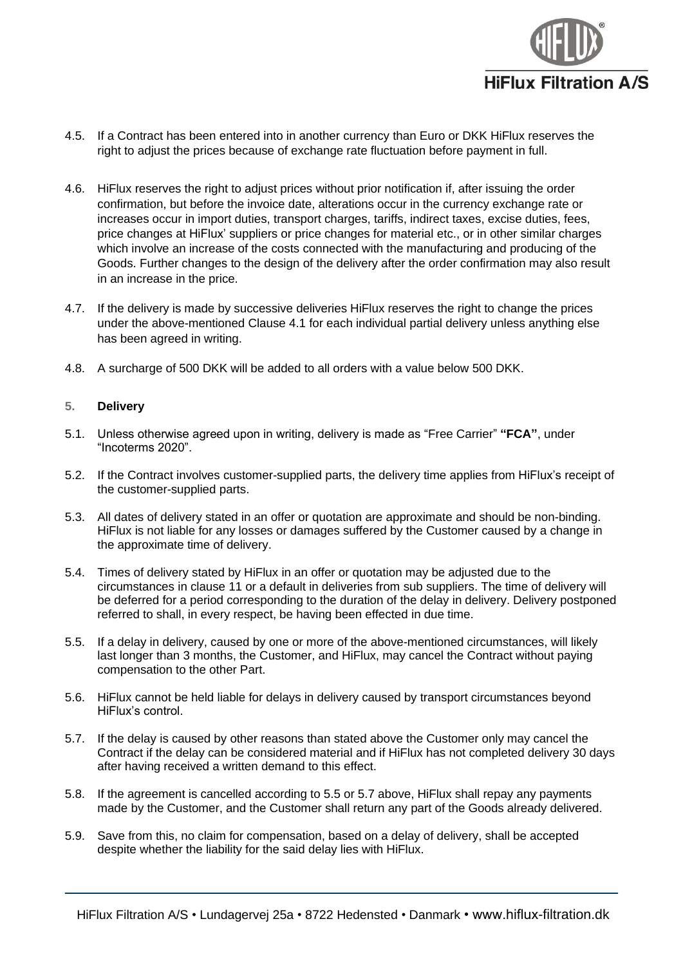

- 4.5. If a Contract has been entered into in another currency than Euro or DKK HiFlux reserves the right to adjust the prices because of exchange rate fluctuation before payment in full.
- 4.6. HiFlux reserves the right to adjust prices without prior notification if, after issuing the order confirmation, but before the invoice date, alterations occur in the currency exchange rate or increases occur in import duties, transport charges, tariffs, indirect taxes, excise duties, fees, price changes at HiFlux' suppliers or price changes for material etc., or in other similar charges which involve an increase of the costs connected with the manufacturing and producing of the Goods. Further changes to the design of the delivery after the order confirmation may also result in an increase in the price.
- 4.7. If the delivery is made by successive deliveries HiFlux reserves the right to change the prices under the above-mentioned Clause [4.1](#page-0-1) for each individual partial delivery unless anything else has been agreed in writing.
- 4.8. A surcharge of 500 DKK will be added to all orders with a value below 500 DKK.

## **5. Delivery**

- 5.1. Unless otherwise agreed upon in writing, delivery is made as "Free Carrier" **"FCA"**, under "Incoterms 2020".
- 5.2. If the Contract involves customer-supplied parts, the delivery time applies from HiFlux's receipt of the customer-supplied parts.
- 5.3. All dates of delivery stated in an offer or quotation are approximate and should be non-binding. HiFlux is not liable for any losses or damages suffered by the Customer caused by a change in the approximate time of delivery.
- 5.4. Times of delivery stated by HiFlux in an offer or quotation may be adjusted due to the circumstances in clause [11](#page-4-0) or a default in deliveries from sub suppliers. The time of delivery will be deferred for a period corresponding to the duration of the delay in delivery. Delivery postponed referred to shall, in every respect, be having been effected in due time.
- <span id="page-1-0"></span>5.5. If a delay in delivery, caused by one or more of the above-mentioned circumstances, will likely last longer than 3 months, the Customer, and HiFlux, may cancel the Contract without paying compensation to the other Part.
- 5.6. HiFlux cannot be held liable for delays in delivery caused by transport circumstances beyond HiFlux's control.
- <span id="page-1-1"></span>5.7. If the delay is caused by other reasons than stated above the Customer only may cancel the Contract if the delay can be considered material and if HiFlux has not completed delivery 30 days after having received a written demand to this effect.
- 5.8. If the agreement is cancelled according to [5.5](#page-1-0) or [5.7](#page-1-1) above, HiFlux shall repay any payments made by the Customer, and the Customer shall return any part of the Goods already delivered.
- 5.9. Save from this, no claim for compensation, based on a delay of delivery, shall be accepted despite whether the liability for the said delay lies with HiFlux.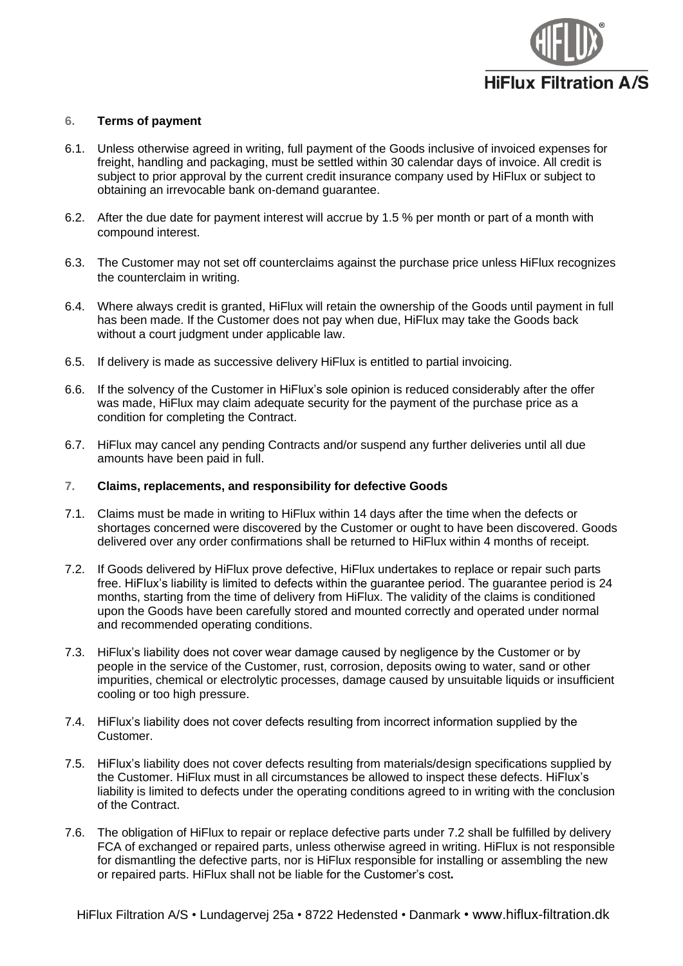

# **6. Terms of payment**

- 6.1. Unless otherwise agreed in writing, full payment of the Goods inclusive of invoiced expenses for freight, handling and packaging, must be settled within 30 calendar days of invoice. All credit is subject to prior approval by the current credit insurance company used by HiFlux or subject to obtaining an irrevocable bank on-demand guarantee.
- 6.2. After the due date for payment interest will accrue by 1.5 % per month or part of a month with compound interest.
- 6.3. The Customer may not set off counterclaims against the purchase price unless HiFlux recognizes the counterclaim in writing.
- 6.4. Where always credit is granted, HiFlux will retain the ownership of the Goods until payment in full has been made. If the Customer does not pay when due, HiFlux may take the Goods back without a court judgment under applicable law.
- 6.5. If delivery is made as successive delivery HiFlux is entitled to partial invoicing.
- 6.6. If the solvency of the Customer in HiFlux's sole opinion is reduced considerably after the offer was made, HiFlux may claim adequate security for the payment of the purchase price as a condition for completing the Contract.
- 6.7. HiFlux may cancel any pending Contracts and/or suspend any further deliveries until all due amounts have been paid in full.

#### <span id="page-2-2"></span>**7. Claims, replacements, and responsibility for defective Goods**

- 7.1. Claims must be made in writing to HiFlux within 14 days after the time when the defects or shortages concerned were discovered by the Customer or ought to have been discovered. Goods delivered over any order confirmations shall be returned to HiFlux within 4 months of receipt.
- <span id="page-2-0"></span>7.2. If Goods delivered by HiFlux prove defective, HiFlux undertakes to replace or repair such parts free. HiFlux's liability is limited to defects within the guarantee period. The guarantee period is 24 months, starting from the time of delivery from HiFlux. The validity of the claims is conditioned upon the Goods have been carefully stored and mounted correctly and operated under normal and recommended operating conditions.
- 7.3. HiFlux's liability does not cover wear damage caused by negligence by the Customer or by people in the service of the Customer, rust, corrosion, deposits owing to water, sand or other impurities, chemical or electrolytic processes, damage caused by unsuitable liquids or insufficient cooling or too high pressure.
- 7.4. HiFlux's liability does not cover defects resulting from incorrect information supplied by the Customer.
- <span id="page-2-1"></span>7.5. HiFlux's liability does not cover defects resulting from materials/design specifications supplied by the Customer. HiFlux must in all circumstances be allowed to inspect these defects. HiFlux's liability is limited to defects under the operating conditions agreed to in writing with the conclusion of the Contract.
- 7.6. The obligation of HiFlux to repair or replace defective parts under [7.2](#page-2-0) shall be fulfilled by delivery FCA of exchanged or repaired parts, unless otherwise agreed in writing. HiFlux is not responsible for dismantling the defective parts, nor is HiFlux responsible for installing or assembling the new or repaired parts. HiFlux shall not be liable for the Customer's cost**.**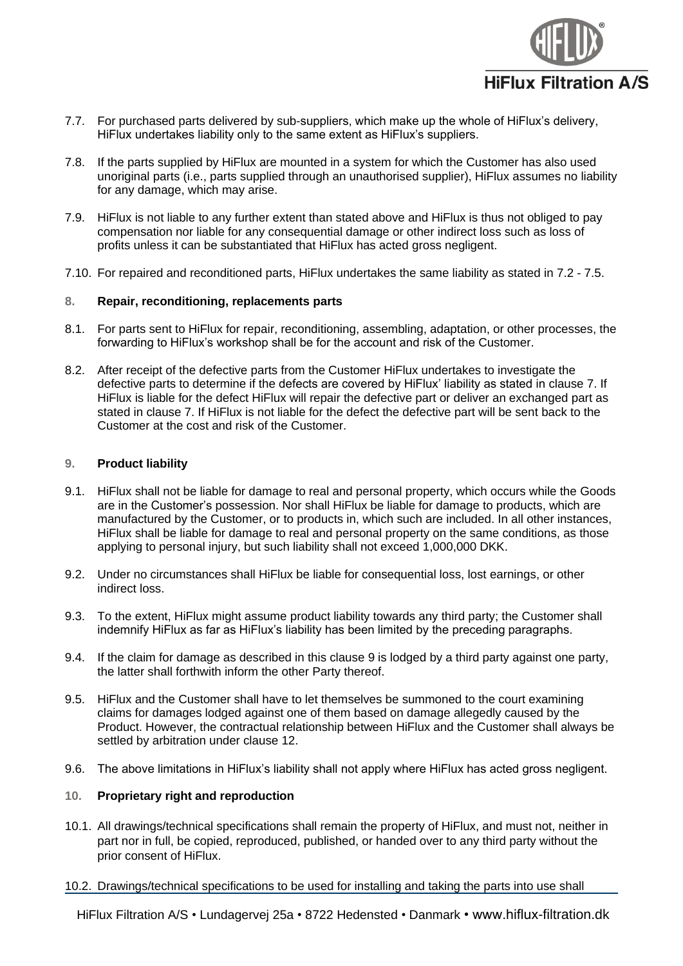

- 7.7. For purchased parts delivered by sub-suppliers, which make up the whole of HiFlux's delivery, HiFlux undertakes liability only to the same extent as HiFlux's suppliers.
- 7.8. If the parts supplied by HiFlux are mounted in a system for which the Customer has also used unoriginal parts (i.e., parts supplied through an unauthorised supplier), HiFlux assumes no liability for any damage, which may arise.
- 7.9. HiFlux is not liable to any further extent than stated above and HiFlux is thus not obliged to pay compensation nor liable for any consequential damage or other indirect loss such as loss of profits unless it can be substantiated that HiFlux has acted gross negligent.
- 7.10. For repaired and reconditioned parts, HiFlux undertakes the same liability as stated in [7.2](#page-2-0) [7.5.](#page-2-1)

## **8. Repair, reconditioning, replacements parts**

- 8.1. For parts sent to HiFlux for repair, reconditioning, assembling, adaptation, or other processes, the forwarding to HiFlux's workshop shall be for the account and risk of the Customer.
- 8.2. After receipt of the defective parts from the Customer HiFlux undertakes to investigate the defective parts to determine if the defects are covered by HiFlux' liability as stated in clause [7.](#page-2-2) If HiFlux is liable for the defect HiFlux will repair the defective part or deliver an exchanged part as stated in clause 7. If HiFlux is not liable for the defect the defective part will be sent back to the Customer at the cost and risk of the Customer.

#### <span id="page-3-0"></span>**9. Product liability**

- 9.1. HiFlux shall not be liable for damage to real and personal property, which occurs while the Goods are in the Customer's possession. Nor shall HiFlux be liable for damage to products, which are manufactured by the Customer, or to products in, which such are included. In all other instances, HiFlux shall be liable for damage to real and personal property on the same conditions, as those applying to personal injury, but such liability shall not exceed 1,000,000 DKK.
- 9.2. Under no circumstances shall HiFlux be liable for consequential loss, lost earnings, or other indirect loss.
- 9.3. To the extent, HiFlux might assume product liability towards any third party; the Customer shall indemnify HiFlux as far as HiFlux's liability has been limited by the preceding paragraphs.
- 9.4. If the claim for damage as described in this clause [9](#page-3-0) is lodged by a third party against one party, the latter shall forthwith inform the other Party thereof.
- 9.5. HiFlux and the Customer shall have to let themselves be summoned to the court examining claims for damages lodged against one of them based on damage allegedly caused by the Product. However, the contractual relationship between HiFlux and the Customer shall always be settled by arbitration under clause [12.](#page-4-1)
- 9.6. The above limitations in HiFlux's liability shall not apply where HiFlux has acted gross negligent.

# **10. Proprietary right and reproduction**

- 10.1. All drawings/technical specifications shall remain the property of HiFlux, and must not, neither in part nor in full, be copied, reproduced, published, or handed over to any third party without the prior consent of HiFlux.
- 10.2. Drawings/technical specifications to be used for installing and taking the parts into use shall

HiFlux Filtration A/S • Lundagervej 25a • 8722 Hedensted • Danmark • www.hiflux-filtration.dk